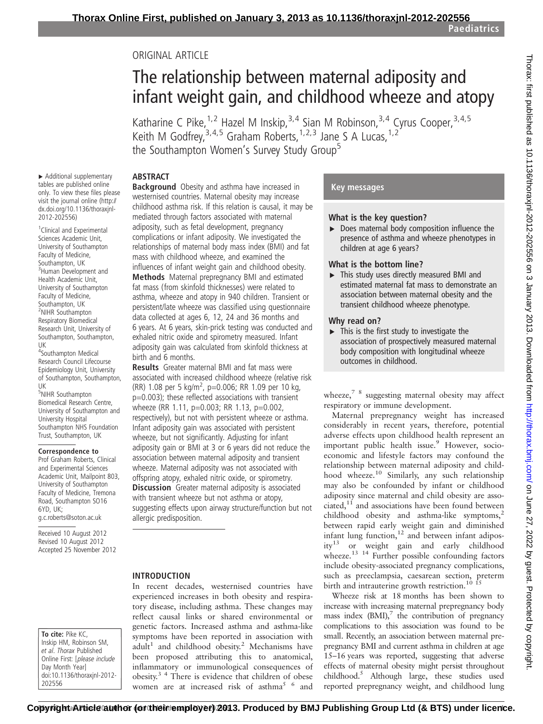Paediatrics

# ORIGINAL ARTICLE

# The relationship between maternal adiposity and infant weight gain, and childhood wheeze and atopy

Katharine C Pike, <sup>1, 2</sup> Hazel M Inskip, <sup>3, 4</sup> Sian M Robinson, <sup>3, 4</sup> Cyrus Cooper, <sup>3, 4, 5</sup> Keith M Godfrey,  $3,4,5$  Graham Roberts,  $1,2,3$  Jane S A Lucas,  $1,2$ the Southampton Women's Survey Study Group<sup>5</sup>

# **ABSTRACT**

▸ Additional supplementary tables are published online only. To view these files please visit the journal online (http:// dx.doi.org/10.1136/thoraxjnl-2012-202556)

<sup>1</sup> Clinical and Experimental Sciences Academic Unit, University of Southampton Faculty of Medicine, Southampton, UK <sup>3</sup>Human Development and Health Academic Unit, University of Southampton Faculty of Medicine, Southampton, UK <sup>2</sup>NIHR Southampton Respiratory Biomedical Research Unit, University of Southampton, Southampton, UK

4 Southampton Medical Research Council Lifecourse Epidemiology Unit, University of Southampton, Southampton, UK

5 NIHR Southampton Biomedical Research Centre, University of Southampton and University Hospital Southampton NHS Foundation Trust, Southampton, UK

#### Correspondence to

Prof Graham Roberts, Clinical and Experimental Sciences Academic Unit, Mailpoint 803, University of Southampton Faculty of Medicine, Tremona Road, Southampton SO16 6YD, UK; g.c.roberts@soton.ac.uk

Received 10 August 2012 Revised 10 August 2012 Accepted 25 November 2012

To cite: Pike KC, Inskip HM, Robinson SM, et al. Thorax Published Online First: [please include Day Month Year] doi:10.1136/thoraxjnl-2012- 202556

Background Obesity and asthma have increased in westernised countries. Maternal obesity may increase childhood asthma risk. If this relation is causal, it may be mediated through factors associated with maternal adiposity, such as fetal development, pregnancy complications or infant adiposity. We investigated the relationships of maternal body mass index (BMI) and fat mass with childhood wheeze, and examined the influences of infant weight gain and childhood obesity.

Methods Maternal prepregnancy BMI and estimated fat mass (from skinfold thicknesses) were related to asthma, wheeze and atopy in 940 children. Transient or persistent/late wheeze was classified using questionnaire data collected at ages 6, 12, 24 and 36 months and 6 years. At 6 years, skin-prick testing was conducted and exhaled nitric oxide and spirometry measured. Infant adiposity gain was calculated from skinfold thickness at birth and 6 months.

Results Greater maternal BMI and fat mass were associated with increased childhood wheeze (relative risk (RR) 1.08 per 5 kg/m<sup>2</sup>, p=0.006; RR 1.09 per 10 kg, p=0.003); these reflected associations with transient wheeze (RR 1.11, p=0.003; RR 1.13, p=0.002, respectively), but not with persistent wheeze or asthma. Infant adiposity gain was associated with persistent wheeze, but not significantly. Adjusting for infant adiposity gain or BMI at 3 or 6 years did not reduce the association between maternal adiposity and transient wheeze. Maternal adiposity was not associated with offspring atopy, exhaled nitric oxide, or spirometry. **Discussion** Greater maternal adiposity is associated with transient wheeze but not asthma or atopy, suggesting effects upon airway structure/function but not allergic predisposition.

#### INTRODUCTION

In recent decades, westernised countries have experienced increases in both obesity and respiratory disease, including asthma. These changes may reflect causal links or shared environmental or genetic factors. Increased asthma and asthma-like symptoms have been reported in association with  $adult<sup>1</sup>$  and childhood obesity.<sup>2</sup> Mechanisms have been proposed attributing this to anatomical, inflammatory or immunological consequences of obesity.3 4 There is evidence that children of obese women are at increased risk of asthma<sup>5 6</sup> and

#### Key messages

#### What is the key question?

▸ Does maternal body composition influence the presence of asthma and wheeze phenotypes in children at age 6 years?

#### What is the bottom line?

▸ This study uses directly measured BMI and estimated maternal fat mass to demonstrate an association between maternal obesity and the transient childhood wheeze phenotype.

#### Why read on?

 $\triangleright$  This is the first study to investigate the association of prospectively measured maternal body composition with longitudinal wheeze outcomes in childhood.

wheeze, $78$  suggesting maternal obesity may affect respiratory or immune development.

Maternal prepregnancy weight has increased considerably in recent years, therefore, potential adverse effects upon childhood health represent an important public health issue.<sup>9</sup> However, socioeconomic and lifestyle factors may confound the relationship between maternal adiposity and childhood wheeze.<sup>10</sup> Similarly, any such relationship may also be confounded by infant or childhood adiposity since maternal and child obesity are associated, $11$  and associations have been found between childhood obesity and asthma-like symptoms, $2$ between rapid early weight gain and diminished infant lung function, $12$  and between infant adiposity<sup>13</sup> or weight gain and early childhood wheeze.<sup>13</sup> <sup>14</sup> Further possible confounding factors include obesity-associated pregnancy complications, such as preeclampsia, caesarean section, preterm birth and intrauterine growth restriction.<sup>10</sup> <sup>15</sup>

Wheeze risk at 18 months has been shown to increase with increasing maternal prepregnancy body mass index  $(BMI)$ ,<sup>7</sup> the contribution of pregnancy complications to this association was found to be small. Recently, an association between maternal prepregnancy BMI and current asthma in children at age 15–16 years was reported, suggesting that adverse effects of maternal obesity might persist throughout childhood.5 Although large, these studies used reported prepregnancy weight, and childhood lung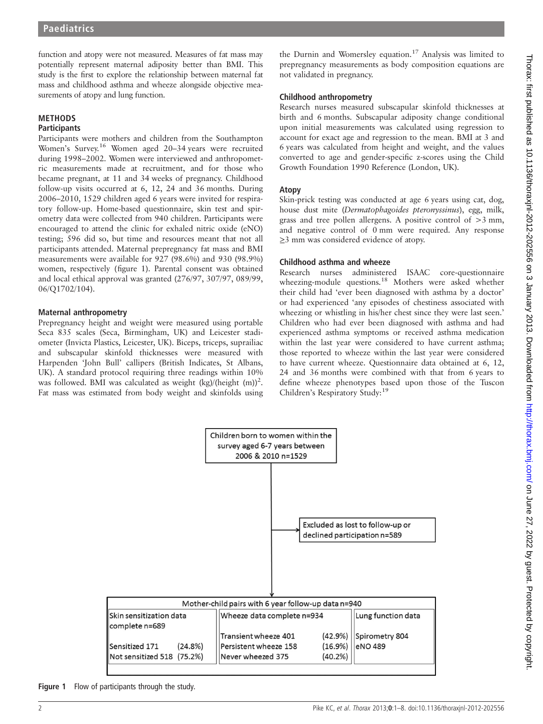function and atopy were not measured. Measures of fat mass may potentially represent maternal adiposity better than BMI. This study is the first to explore the relationship between maternal fat mass and childhood asthma and wheeze alongside objective measurements of atopy and lung function.

#### METHODS **Participants**

Participants were mothers and children from the Southampton Women's Survey.<sup>16</sup> Women aged 20–34 years were recruited during 1998–2002. Women were interviewed and anthropometric measurements made at recruitment, and for those who became pregnant, at 11 and 34 weeks of pregnancy. Childhood follow-up visits occurred at 6, 12, 24 and 36 months. During 2006–2010, 1529 children aged 6 years were invited for respiratory follow-up. Home-based questionnaire, skin test and spirometry data were collected from 940 children. Participants were encouraged to attend the clinic for exhaled nitric oxide (eNO) testing; 596 did so, but time and resources meant that not all participants attended. Maternal prepregnancy fat mass and BMI measurements were available for 927 (98.6%) and 930 (98.9%) women, respectively (figure 1). Parental consent was obtained and local ethical approval was granted (276/97, 307/97, 089/99, 06/Q1702/104).

# Maternal anthropometry

Prepregnancy height and weight were measured using portable Seca 835 scales (Seca, Birmingham, UK) and Leicester stadiometer (Invicta Plastics, Leicester, UK). Biceps, triceps, suprailiac and subscapular skinfold thicknesses were measured with Harpenden 'John Bull' callipers (British Indicates, St Albans, UK). A standard protocol requiring three readings within 10% was followed. BMI was calculated as weight (kg)/(height (m))<sup>2</sup>. Fat mass was estimated from body weight and skinfolds using

the Durnin and Womersley equation.<sup>17</sup> Analysis was limited to prepregnancy measurements as body composition equations are not validated in pregnancy.

# Childhood anthropometry

Research nurses measured subscapular skinfold thicknesses at birth and 6 months. Subscapular adiposity change conditional upon initial measurements was calculated using regression to account for exact age and regression to the mean. BMI at 3 and 6 years was calculated from height and weight, and the values converted to age and gender-specific z-scores using the Child Growth Foundation 1990 Reference (London, UK).

# Atopy

Skin-prick testing was conducted at age 6 years using cat, dog, house dust mite (Dermatophagoides pteronyssinus), egg, milk, grass and tree pollen allergens. A positive control of >3 mm, and negative control of 0 mm were required. Any response ≥3 mm was considered evidence of atopy.

# Childhood asthma and wheeze

Research nurses administered ISAAC core-questionnaire wheezing-module questions.<sup>18</sup> Mothers were asked whether their child had 'ever been diagnosed with asthma by a doctor' or had experienced 'any episodes of chestiness associated with wheezing or whistling in his/her chest since they were last seen.' Children who had ever been diagnosed with asthma and had experienced asthma symptoms or received asthma medication within the last year were considered to have current asthma; those reported to wheeze within the last year were considered to have current wheeze. Questionnaire data obtained at 6, 12, 24 and 36 months were combined with that from 6 years to define wheeze phenotypes based upon those of the Tuscon Children's Respiratory Study:<sup>19</sup>



Figure 1 Flow of participants through the study.

Thorax: first published as 10.1136/thoraxjnl-2012-202556 on 3 January 2013. Downloaded from http://thorax.bmj.com/ on June 27, 2022 by guest. Protected by copyright Thorax: first published as 10.1136/thoraxjnl-2012-2025 on 3 January 2013. Downloaded from <http://thorax.bmj.com/> on June 27, 2022 by guest. Protected by copyright.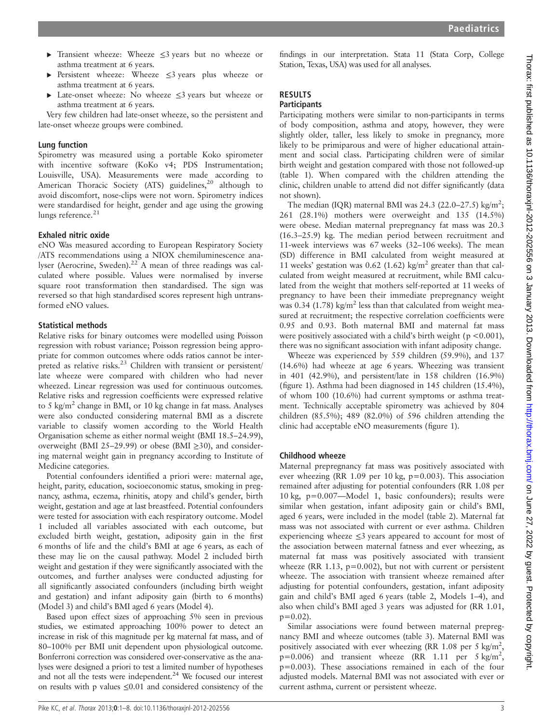- ▸ Transient wheeze: Wheeze ≤3 years but no wheeze or asthma treatment at 6 years.
- ▸ Persistent wheeze: Wheeze ≤3 years plus wheeze or asthma treatment at 6 years.
- ▸ Late-onset wheeze: No wheeze ≤3 years but wheeze or asthma treatment at 6 years.

Very few children had late-onset wheeze, so the persistent and late-onset wheeze groups were combined.

#### Lung function

Spirometry was measured using a portable Koko spirometer with incentive software (KoKo v4; PDS Instrumentation; Louisville, USA). Measurements were made according to American Thoracic Society (ATS) guidelines,<sup>20</sup> although to avoid discomfort, nose-clips were not worn. Spirometry indices were standardised for height, gender and age using the growing lungs reference. $21$ 

# Exhaled nitric oxide

eNO Was measured according to European Respiratory Society /ATS recommendations using a NIOX chemiluminescence analyser (Aerocrine, Sweden).<sup>22</sup> A mean of three readings was calculated where possible. Values were normalised by inverse square root transformation then standardised. The sign was reversed so that high standardised scores represent high untransformed eNO values.

#### Statistical methods

Relative risks for binary outcomes were modelled using Poisson regression with robust variance; Poisson regression being appropriate for common outcomes where odds ratios cannot be interpreted as relative risks.<sup>23</sup> Children with transient or persistent/ late wheeze were compared with children who had never wheezed. Linear regression was used for continuous outcomes. Relative risks and regression coefficients were expressed relative to 5 kg/m<sup>2</sup> change in BMI, or 10 kg change in fat mass. Analyses were also conducted considering maternal BMI as a discrete variable to classify women according to the World Health Organisation scheme as either normal weight (BMI 18.5–24.99), overweight (BMI 25–29.99) or obese (BMI  $\geq$ 30), and considering maternal weight gain in pregnancy according to Institute of Medicine categories.

Potential confounders identified a priori were: maternal age, height, parity, education, socioeconomic status, smoking in pregnancy, asthma, eczema, rhinitis, atopy and child's gender, birth weight, gestation and age at last breastfeed. Potential confounders were tested for association with each respiratory outcome. Model 1 included all variables associated with each outcome, but excluded birth weight, gestation, adiposity gain in the first 6 months of life and the child's BMI at age 6 years, as each of these may lie on the causal pathway. Model 2 included birth weight and gestation if they were significantly associated with the outcomes, and further analyses were conducted adjusting for all significantly associated confounders (including birth weight and gestation) and infant adiposity gain (birth to 6 months) (Model 3) and child's BMI aged 6 years (Model 4).

Based upon effect sizes of approaching 5% seen in previous studies, we estimated approaching 100% power to detect an increase in risk of this magnitude per kg maternal fat mass, and of 80–100% per BMI unit dependent upon physiological outcome. Bonferroni correction was considered over-conservative as the analyses were designed a priori to test a limited number of hypotheses and not all the tests were independent.<sup>24</sup> We focused our interest on results with p values ≤0.01 and considered consistency of the

findings in our interpretation. Stata 11 (Stata Corp, College Station, Texas, USA) was used for all analyses.

# RESULTS

# **Participants**

Participating mothers were similar to non-participants in terms of body composition, asthma and atopy, however, they were slightly older, taller, less likely to smoke in pregnancy, more likely to be primiparous and were of higher educational attainment and social class. Participating children were of similar birth weight and gestation compared with those not followed-up (table 1). When compared with the children attending the clinic, children unable to attend did not differ significantly (data not shown).

The median (IQR) maternal BMI was 24.3 (22.0–27.5) kg/m<sup>2</sup>; 261 (28.1%) mothers were overweight and 135 (14.5%) were obese. Median maternal prepregnancy fat mass was 20.3 (16.3–25.9) kg. The median period between recruitment and 11-week interviews was 67 weeks (32–106 weeks). The mean (SD) difference in BMI calculated from weight measured at 11 weeks' gestation was 0.62 (1.62) kg/m<sup>2</sup> greater than that calculated from weight measured at recruitment, while BMI calculated from the weight that mothers self-reported at 11 weeks of pregnancy to have been their immediate prepregnancy weight was 0.34 (1.78) kg/m<sup>2</sup> less than that calculated from weight measured at recruitment; the respective correlation coefficients were 0.95 and 0.93. Both maternal BMI and maternal fat mass were positively associated with a child's birth weight ( $p < 0.001$ ), there was no significant association with infant adiposity change.

Wheeze was experienced by 559 children (59.9%), and 137 (14.6%) had wheeze at age 6 years. Wheezing was transient in 401 (42.9%), and persistent/late in 158 children (16.9%) (figure 1). Asthma had been diagnosed in 145 children (15.4%), of whom 100 (10.6%) had current symptoms or asthma treatment. Technically acceptable spirometry was achieved by 804 children (85.5%); 489 (82.0%) of 596 children attending the clinic had acceptable eNO measurements (figure 1).

#### Childhood wheeze

Maternal prepregnancy fat mass was positively associated with ever wheezing (RR 1.09 per 10 kg, p=0.003). This association remained after adjusting for potential confounders (RR 1.08 per 10 kg, p=0.007—Model 1, basic confounders); results were similar when gestation, infant adiposity gain or child's BMI, aged 6 years, were included in the model (table 2). Maternal fat mass was not associated with current or ever asthma. Children experiencing wheeze  $\leq$ 3 years appeared to account for most of the association between maternal fatness and ever wheezing, as maternal fat mass was positively associated with transient wheeze (RR 1.13,  $p=0.002$ ), but not with current or persistent wheeze. The association with transient wheeze remained after adjusting for potential confounders, gestation, infant adiposity gain and child's BMI aged 6 years (table 2, Models 1–4), and also when child's BMI aged 3 years was adjusted for (RR 1.01,  $p=0.02$ ).

Similar associations were found between maternal prepregnancy BMI and wheeze outcomes (table 3). Maternal BMI was positively associated with ever wheezing (RR 1.08 per 5 kg/m<sup>2</sup>,  $p=0.006$ ) and transient wheeze (RR 1.11 per 5 kg/m<sup>2</sup>, p=0.003). These associations remained in each of the four adjusted models. Maternal BMI was not associated with ever or current asthma, current or persistent wheeze.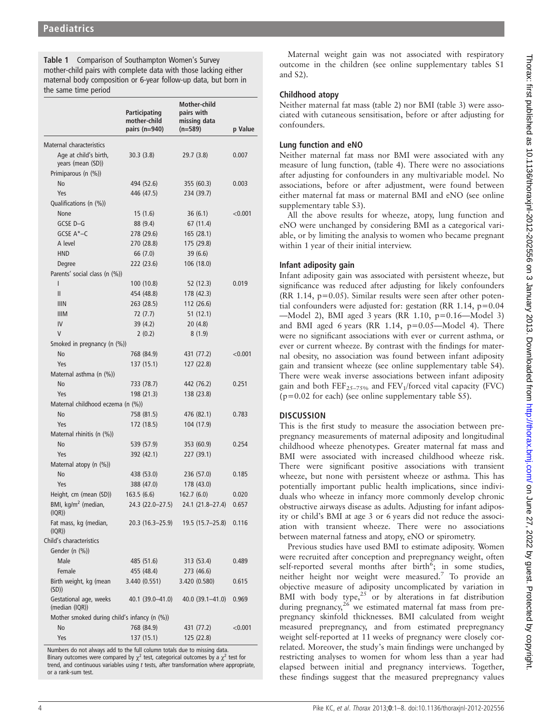Table 1 Comparison of Southampton Women's Survey mother-child pairs with complete data with those lacking either maternal body composition or 6-year follow-up data, but born in the same time period

|                                              | <b>Participating</b><br>mother-child<br>pairs $(n=940)$ | <b>Mother-child</b><br>pairs with<br>missing data<br>(n=589) | p Value |
|----------------------------------------------|---------------------------------------------------------|--------------------------------------------------------------|---------|
| Maternal characteristics                     |                                                         |                                                              |         |
| Age at child's birth,<br>years (mean (SD))   | 30.3(3.8)                                               | 29.7(3.8)                                                    | 0.007   |
| Primiparous (n (%))                          |                                                         |                                                              |         |
| No                                           | 494 (52.6)                                              | 355 (60.3)                                                   | 0.003   |
| Yes                                          | 446 (47.5)                                              | 234 (39.7)                                                   |         |
| Qualifications (n (%))                       |                                                         |                                                              |         |
| None                                         | 15(1.6)                                                 | 36(6.1)                                                      | < 0.001 |
| GCSE D-G                                     | 88 (9.4)                                                | 67 (11.4)                                                    |         |
| GCSE A*-C                                    | 278 (29.6)                                              | 165 (28.1)                                                   |         |
| A level                                      | 270 (28.8)                                              | 175 (29.8)                                                   |         |
| <b>HND</b>                                   | 66 (7.0)                                                | 39(6.6)                                                      |         |
| Degree                                       | 222 (23.6)                                              | 106 (18.0)                                                   |         |
| Parents' social class (n (%))                |                                                         |                                                              |         |
| I                                            | 100 (10.8)                                              | 52 (12.3)                                                    | 0.019   |
| Ш                                            | 454 (48.8)                                              | 178 (42.3)                                                   |         |
| <b>IIIN</b>                                  | 263 (28.5)                                              | 112 (26.6)                                                   |         |
| <b>IIIM</b>                                  | 72 (7.7)                                                | 51(12.1)                                                     |         |
| IV                                           | 39 (4.2)                                                | 20(4.8)                                                      |         |
| V                                            | 2(0.2)                                                  | 8(1.9)                                                       |         |
| Smoked in pregnancy (n (%))                  |                                                         |                                                              |         |
| No                                           | 768 (84.9)                                              | 431 (77.2)                                                   | < 0.001 |
| Yes                                          | 137 (15.1)                                              | 127 (22.8)                                                   |         |
| Maternal asthma (n (%))                      |                                                         |                                                              |         |
| <b>No</b>                                    | 733 (78.7)                                              | 442 (76.2)                                                   | 0.251   |
| Yes                                          | 198 (21.3)                                              | 138 (23.8)                                                   |         |
| Maternal childhood eczema (n (%))            |                                                         |                                                              |         |
| No                                           | 758 (81.5)                                              | 476 (82.1)                                                   | 0.783   |
| Yes                                          | 172 (18.5)                                              | 104 (17.9)                                                   |         |
| Maternal rhinitis (n (%))                    |                                                         |                                                              |         |
| <b>No</b>                                    | 539 (57.9)                                              | 353 (60.9)                                                   | 0.254   |
| Yes                                          | 392 (42.1)                                              | 227 (39.1)                                                   |         |
| Maternal atopy (n (%))                       |                                                         |                                                              |         |
| <b>No</b>                                    | 438 (53.0)                                              | 236 (57.0)                                                   | 0.185   |
| Yes                                          | 388 (47.0)                                              | 178 (43.0)                                                   |         |
| Height, cm (mean (SD))                       | 163.5(6.6)                                              | 162.7(6.0)                                                   | 0.020   |
| BMI, kg/m <sup>2</sup> (median,<br>(IQR))    | 24.3 (22.0-27.5)                                        | 24.1 (21.8-27.4)                                             | 0.657   |
| Fat mass, kg (median,<br>(IQR))              | 20.3 (16.3–25.9)                                        | $19.5(15.7-25.8)$                                            | 0.116   |
| Child's characteristics<br>Gender (n (%))    |                                                         |                                                              |         |
| Male                                         | 485 (51.6)                                              | 313 (53.4)                                                   | 0.489   |
| Female                                       | 455 (48.4)                                              | 273 (46.6)                                                   |         |
| Birth weight, kg (mean<br>(SD)               | 3.440 (0.551)                                           | 3.420 (0.580)                                                | 0.615   |
| Gestational age, weeks<br>(median (IQR))     | 40.1 (39.0–41.0)                                        | 40.0 (39.1–41.0)                                             | 0.969   |
| Mother smoked during child's infancy (n (%)) |                                                         |                                                              |         |
| No                                           | 768 (84.9)                                              | 431 (77.2)                                                   | < 0.001 |
| Yes                                          | 137 (15.1)                                              | 125 (22.8)                                                   |         |

Numbers do not always add to the full column totals due to missing data. Binary outcomes were compared by  $\chi^2$  test, categorical outcomes by a  $\chi^2$  test for trend, and continuous variables using  $t$  tests, after transformation where appropriate, or a rank-sum test.

Maternal weight gain was not associated with respiratory outcome in the children (see online supplementary tables S1 and S2).

# Childhood atopy

Neither maternal fat mass (table 2) nor BMI (table 3) were associated with cutaneous sensitisation, before or after adjusting for confounders.

# Lung function and eNO

Neither maternal fat mass nor BMI were associated with any measure of lung function, (table 4). There were no associations after adjusting for confounders in any multivariable model. No associations, before or after adjustment, were found between either maternal fat mass or maternal BMI and eNO (see online supplementary table S3).

All the above results for wheeze, atopy, lung function and eNO were unchanged by considering BMI as a categorical variable, or by limiting the analysis to women who became pregnant within 1 year of their initial interview.

# Infant adiposity gain

Infant adiposity gain was associated with persistent wheeze, but significance was reduced after adjusting for likely confounders  $(RR 1.14, p=0.05)$ . Similar results were seen after other potential confounders were adjusted for: gestation (RR 1.14,  $p=0.04$ ) —Model 2), BMI aged 3 years (RR 1.10, p=0.16—Model 3) and BMI aged 6 years (RR 1.14,  $p=0.05$ —Model 4). There were no significant associations with ever or current asthma, or ever or current wheeze. By contrast with the findings for maternal obesity, no association was found between infant adiposity gain and transient wheeze (see online supplementary table S4). There were weak inverse associations between infant adiposity gain and both  $\text{FEF}_{25-75\%}$  and  $\text{FEV}_1/\text{forced}$  vital capacity (FVC)  $(p=0.02$  for each) (see online supplementary table S5).

# **DISCUSSION**

This is the first study to measure the association between prepregnancy measurements of maternal adiposity and longitudinal childhood wheeze phenotypes. Greater maternal fat mass and BMI were associated with increased childhood wheeze risk. There were significant positive associations with transient wheeze, but none with persistent wheeze or asthma. This has potentially important public health implications, since individuals who wheeze in infancy more commonly develop chronic obstructive airways disease as adults. Adjusting for infant adiposity or child's BMI at age 3 or 6 years did not reduce the association with transient wheeze. There were no associations between maternal fatness and atopy, eNO or spirometry.

Previous studies have used BMI to estimate adiposity. Women were recruited after conception and prepregnancy weight, often self-reported several months after  $\overline{b}$  birth<sup>6</sup>; in some studies, neither height nor weight were measured.<sup>7</sup> To provide an objective measure of adiposity uncomplicated by variation in BMI with body type, $25$  or by alterations in fat distribution during pregnancy, $26$  we estimated maternal fat mass from prepregnancy skinfold thicknesses. BMI calculated from weight measured prepregnancy, and from estimated prepregnancy weight self-reported at 11 weeks of pregnancy were closely correlated. Moreover, the study's main findings were unchanged by restricting analyses to women for whom less than a year had elapsed between initial and pregnancy interviews. Together, these findings suggest that the measured prepregnancy values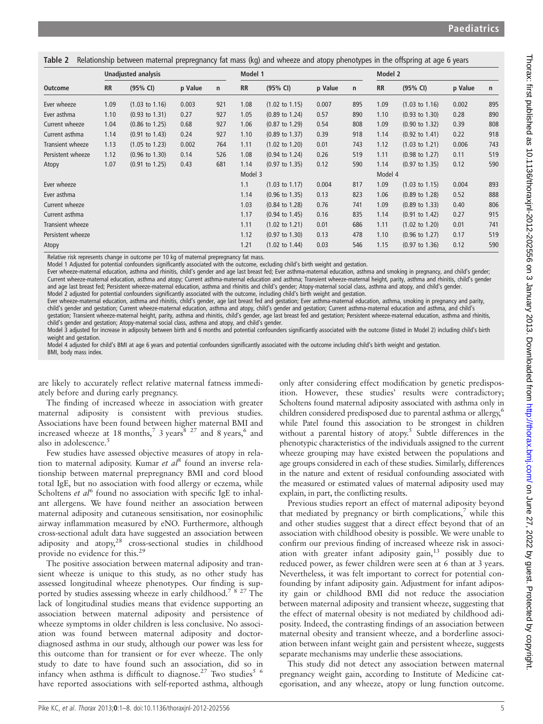|  |  | Table 2 Relationship between maternal prepregnancy fat mass (kg) and wheeze and atopy phenotypes in the offspring at age 6 years |
|--|--|----------------------------------------------------------------------------------------------------------------------------------|
|  |  |                                                                                                                                  |

|                   | <b>Unadjusted analysis</b> |                           |         |              | Model 1   |                           |         |              | Model 2   |                           |         |     |
|-------------------|----------------------------|---------------------------|---------|--------------|-----------|---------------------------|---------|--------------|-----------|---------------------------|---------|-----|
| <b>Outcome</b>    | <b>RR</b>                  | (95% CI)                  | p Value | $\mathsf{n}$ | <b>RR</b> | (95% CI)                  | p Value | $\mathsf{n}$ | <b>RR</b> | (95% CI)                  | p Value | n   |
| Ever wheeze       | 1.09                       | $(1.03 \text{ to } 1.16)$ | 0.003   | 921          | 1.08      | $(1.02 \text{ to } 1.15)$ | 0.007   | 895          | 1.09      | $(1.03 \text{ to } 1.16)$ | 0.002   | 895 |
| Ever asthma       | 1.10                       | $(0.93 \text{ to } 1.31)$ | 0.27    | 927          | 1.05      | $(0.89 \text{ to } 1.24)$ | 0.57    | 890          | 1.10      | $(0.93 \text{ to } 1.30)$ | 0.28    | 890 |
| Current wheeze    | 1.04                       | $(0.86 \text{ to } 1.25)$ | 0.68    | 927          | 1.06      | $(0.87 \text{ to } 1.29)$ | 0.54    | 808          | 1.09      | $(0.90 \text{ to } 1.32)$ | 0.39    | 808 |
| Current asthma    | 1.14                       | $(0.91 \text{ to } 1.43)$ | 0.24    | 927          | 1.10      | $(0.89 \text{ to } 1.37)$ | 0.39    | 918          | 1.14      | $(0.92 \text{ to } 1.41)$ | 0.22    | 918 |
| Transient wheeze  | 1.13                       | $(1.05 \text{ to } 1.23)$ | 0.002   | 764          | 1.11      | $(1.02 \text{ to } 1.20)$ | 0.01    | 743          | 1.12      | $(1.03 \text{ to } 1.21)$ | 0.006   | 743 |
| Persistent wheeze | 1.12                       | $(0.96 \text{ to } 1.30)$ | 0.14    | 526          | 1.08      | $(0.94 \text{ to } 1.24)$ | 0.26    | 519          | 1.11      | $(0.98 \text{ to } 1.27)$ | 0.11    | 519 |
| Atopy             | 1.07                       | $(0.91 \text{ to } 1.25)$ | 0.43    | 681          | 1.14      | $(0.97 \text{ to } 1.35)$ | 0.12    | 590          | 1.14      | $(0.97 \text{ to } 1.35)$ | 0.12    | 590 |
|                   |                            |                           |         |              | Model 3   |                           |         |              | Model 4   |                           |         |     |
| Ever wheeze       |                            |                           |         |              | 1.1       | $(1.03 \text{ to } 1.17)$ | 0.004   | 817          | 1.09      | $(1.03 \text{ to } 1.15)$ | 0.004   | 893 |
| Ever asthma       |                            |                           |         |              | 1.14      | $(0.96 \text{ to } 1.35)$ | 0.13    | 823          | 1.06      | $(0.89 \text{ to } 1.28)$ | 0.52    | 888 |
| Current wheeze    |                            |                           |         |              | 1.03      | $(0.84 \text{ to } 1.28)$ | 0.76    | 741          | 1.09      | $(0.89 \text{ to } 1.33)$ | 0.40    | 806 |
| Current asthma    |                            |                           |         |              | 1.17      | $(0.94 \text{ to } 1.45)$ | 0.16    | 835          | 1.14      | $(0.91 \text{ to } 1.42)$ | 0.27    | 915 |
| Transient wheeze  |                            |                           |         |              | 1.11      | $(1.02 \text{ to } 1.21)$ | 0.01    | 686          | 1.11      | $(1.02 \text{ to } 1.20)$ | 0.01    | 741 |
| Persistent wheeze |                            |                           |         |              | 1.12      | $(0.97 \text{ to } 1.30)$ | 0.13    | 478          | 1.10      | $(0.96 \text{ to } 1.27)$ | 0.17    | 519 |
| Atopy             |                            |                           |         |              | 1.21      | $(1.02 \text{ to } 1.44)$ | 0.03    | 546          | 1.15      | $(0.97 \text{ to } 1.36)$ | 0.12    | 590 |

Relative risk represents change in outcome per 10 kg of maternal prepregnancy fat mass.

Model 1 Adjusted for potential confounders significantly associated with the outcome, excluding child's birth weight and gestation.

Ever wheeze-maternal education, asthma and rhinitis, child's gender and age last breast fed; Ever asthma-maternal education, asthma and smoking in pregnancy, and child's gender; Current wheeze-maternal education, asthma and atopy; Current asthma-maternal education and asthma; Transient wheeze-maternal height, parity, asthma and rhinitis, child's gender and age last breast fed; Persistent wheeze-maternal education, asthma and rhinitis and child's gender; Atopy-maternal social class, asthma and atopy, and child's gender. Model 2 adjusted for potential confounders significantly associated with the outcome, including child's birth weight and gestation.

Ever wheeze-maternal education, asthma and rhinitis, child's gender, age last breast fed and gestation; Ever asthma-maternal education, asthma, smoking in pregnancy and parity, child's gender and gestation; Current wheeze-maternal education, asthma and atopy, child's gender and gestation; Current asthma-maternal education and asthma, and child's gestation; Transient wheeze-maternal height, parity, asthma and rhinitis, child's gender, age last breast fed and gestation; Persistent wheeze-maternal education, asthma and rhinitis, child's gender and gestation; Atopy-maternal social class, asthma and atopy, and child's gender.

Model 3 adjusted for increase in adiposity between birth and 6 months and potential confounders significantly associated with the outcome (listed in Model 2) including child's birth weight and gestation.

Model 4 adjusted for child's BMI at age 6 years and potential confounders significantly associated with the outcome including child's birth weight and gestation. BMI, body mass index.

are likely to accurately reflect relative maternal fatness immediately before and during early pregnancy.

The finding of increased wheeze in association with greater maternal adiposity is consistent with previous studies. Associations have been found between higher maternal BMI and increased wheeze at 18 months,<sup>7</sup> 3 years,<sup>8 27</sup> and 8 years,<sup>6</sup> and also in adolescence.<sup>5</sup>

Few studies have assessed objective measures of atopy in relation to maternal adiposity. Kumar et  $al^8$  found an inverse relationship between maternal prepregnancy BMI and cord blood total IgE, but no association with food allergy or eczema, while Scholtens et  $al^6$  found no association with specific IgE to inhalant allergens. We have found neither an association between maternal adiposity and cutaneous sensitisation, nor eosinophilic airway inflammation measured by eNO. Furthermore, although cross-sectional adult data have suggested an association between adiposity and atopy,<sup>28</sup> cross-sectional studies in childhood provide no evidence for this.29

The positive association between maternal adiposity and transient wheeze is unique to this study, as no other study has assessed longitudinal wheeze phenotypes. Our finding is supported by studies assessing wheeze in early childhood.<sup>78</sup> 27 The lack of longitudinal studies means that evidence supporting an association between maternal adiposity and persistence of wheeze symptoms in older children is less conclusive. No association was found between maternal adiposity and doctordiagnosed asthma in our study, although our power was less for this outcome than for transient or for ever wheeze. The only study to date to have found such an association, did so in infancy when asthma is difficult to diagnose.<sup>27</sup> Two studies<sup>5 6</sup> have reported associations with self-reported asthma, although

only after considering effect modification by genetic predisposition. However, these studies' results were contradictory; Scholtens found maternal adiposity associated with asthma only in children considered predisposed due to parental asthma or allergy,<sup>6</sup> while Patel found this association to be strongest in children without a parental history of atopy.<sup>5</sup> Subtle differences in the phenotypic characteristics of the individuals assigned to the current wheeze grouping may have existed between the populations and age groups considered in each of these studies. Similarly, differences in the nature and extent of residual confounding associated with the measured or estimated values of maternal adiposity used may explain, in part, the conflicting results.

Previous studies report an effect of maternal adiposity beyond that mediated by pregnancy or birth complications,<sup>7</sup> while this and other studies suggest that a direct effect beyond that of an association with childhood obesity is possible. We were unable to confirm our previous finding of increased wheeze risk in association with greater infant adiposity gain,<sup>13</sup> possibly due to reduced power, as fewer children were seen at 6 than at 3 years. Nevertheless, it was felt important to correct for potential confounding by infant adiposity gain. Adjustment for infant adiposity gain or childhood BMI did not reduce the association between maternal adiposity and transient wheeze, suggesting that the effect of maternal obesity is not mediated by childhood adiposity. Indeed, the contrasting findings of an association between maternal obesity and transient wheeze, and a borderline association between infant weight gain and persistent wheeze, suggests separate mechanisms may underlie these associations.

This study did not detect any association between maternal pregnancy weight gain, according to Institute of Medicine categorisation, and any wheeze, atopy or lung function outcome.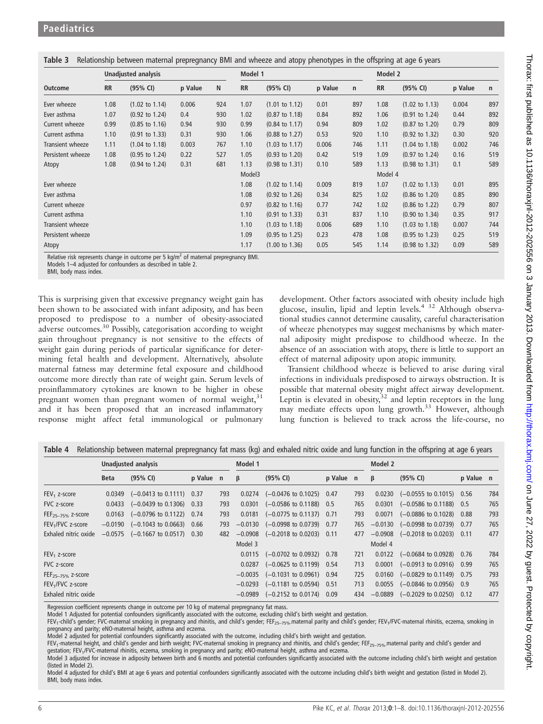|                   |           |                           |         |         |           | $\cdots$                  | $\cdots$ |              |           |                           |         |     |
|-------------------|-----------|---------------------------|---------|---------|-----------|---------------------------|----------|--------------|-----------|---------------------------|---------|-----|
|                   |           | Unadjusted analysis       |         | Model 1 |           |                           |          | Model 2      |           |                           |         |     |
| <b>Outcome</b>    | <b>RR</b> | (95% CI)                  | p Value | N       | <b>RR</b> | (95% CI)                  | p Value  | $\mathsf{n}$ | <b>RR</b> | (95% CI)                  | p Value | n   |
| Ever wheeze       | 1.08      | $(1.02 \text{ to } 1.14)$ | 0.006   | 924     | 1.07      | $(1.01 \text{ to } 1.12)$ | 0.01     | 897          | 1.08      | $(1.02 \text{ to } 1.13)$ | 0.004   | 897 |
| Ever asthma       | 1.07      | $(0.92 \text{ to } 1.24)$ | 0.4     | 930     | 1.02      | $(0.87 \text{ to } 1.18)$ | 0.84     | 892          | 1.06      | $(0.91 \text{ to } 1.24)$ | 0.44    | 892 |
| Current wheeze    | 0.99      | $(0.85 \text{ to } 1.16)$ | 0.94    | 930     | 0.99      | $(0.84 \text{ to } 1.17)$ | 0.94     | 809          | 1.02      | $(0.87 \text{ to } 1.20)$ | 0.79    | 809 |
| Current asthma    | 1.10      | $(0.91 \text{ to } 1.33)$ | 0.31    | 930     | 1.06      | $(0.88 \text{ to } 1.27)$ | 0.53     | 920          | 1.10      | $(0.92 \text{ to } 1.32)$ | 0.30    | 920 |
| Transient wheeze  | 1.11      | $(1.04 \text{ to } 1.18)$ | 0.003   | 767     | 1.10      | $(1.03 \text{ to } 1.17)$ | 0.006    | 746          | 1.11      | $(1.04 \text{ to } 1.18)$ | 0.002   | 746 |
| Persistent wheeze | 1.08      | $(0.95$ to 1.24)          | 0.22    | 527     | 1.05      | $(0.93 \text{ to } 1.20)$ | 0.42     | 519          | 1.09      | $(0.97 \text{ to } 1.24)$ | 0.16    | 519 |
| Atopy             | 1.08      | $(0.94 \text{ to } 1.24)$ | 0.31    | 681     | 1.13      | $(0.98 \text{ to } 1.31)$ | 0.10     | 589          | 1.13      | $(0.98 \text{ to } 1.31)$ | 0.1     | 589 |
|                   |           |                           |         |         | Model3    |                           |          |              | Model 4   |                           |         |     |
| Ever wheeze       |           |                           |         |         | 1.08      | $(1.02 \text{ to } 1.14)$ | 0.009    | 819          | 1.07      | $(1.02 \text{ to } 1.13)$ | 0.01    | 895 |
| Ever asthma       |           |                           |         |         | 1.08      | $(0.92 \text{ to } 1.26)$ | 0.34     | 825          | 1.02      | $(0.86 \text{ to } 1.20)$ | 0.85    | 890 |
| Current wheeze    |           |                           |         |         | 0.97      | $(0.82 \text{ to } 1.16)$ | 0.77     | 742          | 1.02      | $(0.86 \text{ to } 1.22)$ | 0.79    | 807 |
| Current asthma    |           |                           |         |         | 1.10      | $(0.91 \text{ to } 1.33)$ | 0.31     | 837          | 1.10      | $(0.90 \text{ to } 1.34)$ | 0.35    | 917 |
| Transient wheeze  |           |                           |         |         | 1.10      | $(1.03 \text{ to } 1.18)$ | 0.006    | 689          | 1.10      | $(1.03 \text{ to } 1.18)$ | 0.007   | 744 |
| Persistent wheeze |           |                           |         |         | 1.09      | $(0.95 \text{ to } 1.25)$ | 0.23     | 478          | 1.08      | $(0.95 \text{ to } 1.23)$ | 0.25    | 519 |
| Atopy             |           |                           |         |         | 1.17      | $(1.00 \text{ to } 1.36)$ | 0.05     | 545          | 1.14      | $(0.98 \text{ to } 1.32)$ | 0.09    | 589 |

Table 3 Relationship between maternal prepregnancy BMI and wheeze and atopy phenotypes in the offspring at age 6 years

Relative risk represents change in outcome per 5 kg/ $m^2$  of maternal prepregnancy BMI.

Models 1–4 adjusted for confounders as described in table 2.

BMI, body mass index.

This is surprising given that excessive pregnancy weight gain has been shown to be associated with infant adiposity, and has been proposed to predispose to a number of obesity-associated adverse outcomes.<sup>30</sup> Possibly, categorisation according to weight gain throughout pregnancy is not sensitive to the effects of weight gain during periods of particular significance for determining fetal health and development. Alternatively, absolute maternal fatness may determine fetal exposure and childhood outcome more directly than rate of weight gain. Serum levels of proinflammatory cytokines are known to be higher in obese pregnant women than pregnant women of normal weight, $31$ and it has been proposed that an increased inflammatory response might affect fetal immunological or pulmonary

development. Other factors associated with obesity include high glucose, insulin, lipid and leptin levels.4 32 Although observational studies cannot determine causality, careful characterisation of wheeze phenotypes may suggest mechanisms by which maternal adiposity might predispose to childhood wheeze. In the absence of an association with atopy, there is little to support an effect of maternal adiposity upon atopic immunity.

Transient childhood wheeze is believed to arise during viral infections in individuals predisposed to airways obstruction. It is possible that maternal obesity might affect airway development. Leptin is elevated in obesity,  $32$  and leptin receptors in the lung may mediate effects upon lung growth.<sup>33</sup> However, although lung function is believed to track across the life-course, no

|                               | Unadjusted analysis |                                               |           |     | Model 1   |                                               |           |     | Model 2   |                                              |           |     |
|-------------------------------|---------------------|-----------------------------------------------|-----------|-----|-----------|-----------------------------------------------|-----------|-----|-----------|----------------------------------------------|-----------|-----|
|                               | <b>Beta</b>         | (95% CI)                                      | p Value n |     | β         | (95% CI)                                      | p Value n |     | β         | (95% CI)                                     | p Value n |     |
| $FEV1$ z-score                |                     | $0.0349$ $(-0.0413$ to $0.1111)$ 0.37         |           | 793 |           | $0.0274$ $(-0.0476 \text{ to } 0.1025)$ 0.47  |           | 793 |           | $0.0230$ $(-0.0555$ to $0.1015)$ 0.56        |           | 784 |
| FVC z-score                   | 0.0433              | $(-0.0439 \text{ to } 0.1306)$ 0.33           |           | 793 | 0.0301    | $(-0.0586 \text{ to } 0.1188)$ 0.5            |           | 765 | 0.0301    | $(-0.0586 \text{ to } 0.1188)$ 0.5           |           | 765 |
| FEF <sub>25-75%</sub> z-score |                     | $0.0163$ $(-0.0796 \text{ to } 0.1122)$ 0.74  |           | 793 | 0.0181    | $(-0.0775 \text{ to } 0.1137)$ 0.71           |           | 793 | 0.0071    | $(-0.0886 \text{ to } 0.1028)$ 0.88          |           | 793 |
| FEV <sub>1</sub> /FVC z-score |                     | $-0.0190$ $(-0.1043$ to 0.0663) 0.66          |           | 793 | $-0.0130$ | $(-0.0998 \text{ to } 0.0739)$ 0.77           |           | 765 | $-0.0130$ | $(-0.0998 \text{ to } 0.0739)$ 0.77          |           | 765 |
| Exhaled nitric oxide          |                     | $-0.0575$ $(-0.1667 \text{ to } 0.0517)$ 0.30 |           | 482 |           | $-0.0908$ $(-0.2018 \text{ to } 0.0203)$ 0.11 |           | 477 |           | $-0.0908$ $(-0.2018$ to 0.0203) 0.11         |           | 477 |
|                               |                     |                                               |           |     | Model 3   |                                               |           |     | Model 4   |                                              |           |     |
| $FEV1$ z-score                |                     |                                               |           |     |           | $0.0115$ $(-0.0702 \text{ to } 0.0932)$ 0.78  |           | 721 |           | $0.0122$ $(-0.0684 \text{ to } 0.0928)$ 0.76 |           | 784 |
| FVC z-score                   |                     |                                               |           |     | 0.0287    | $(-0.0625 \text{ to } 0.1199)$                | 0.54      | 713 | 0.0001    | $(-0.0913 \text{ to } 0.0916)$ 0.99          |           | 765 |
| $FEF_{25-75\%}$ z-score       |                     |                                               |           |     |           | $-0.0035$ $(-0.1031$ to 0.0961) 0.94          |           | 725 | 0.0160    | $(-0.0829 \text{ to } 0.1149)$ 0.75          |           | 793 |
| FEV <sub>1</sub> /FVC z-score |                     |                                               |           |     |           | $-0.0293$ $(-0.1181$ to 0.0594) 0.51          |           | 713 |           | $0.0055$ $(-0.0846 \text{ to } 0.0956)$ 0.9  |           | 765 |
| Exhaled nitric oxide          |                     |                                               |           |     |           | $-0.0989$ $(-0.2152 \text{ to } 0.0174)$      | 0.09      | 434 | $-0.0889$ | $(-0.2029 \text{ to } 0.0250)$ 0.12          |           | 477 |

Table 4 Relationship between maternal prepregnancy fat mass (kg) and exhaled nitric oxide and lung function in the offspring at age 6 years

Regression coefficient represents change in outcome per 10 kg of maternal prepregnancy fat mass.

Model 1 Adjusted for potential confounders significantly associated with the outcome, excluding child's birth weight and gestation.

FEV<sub>1</sub>-child's gender; FVC-maternal smoking in pregnancy and rhinitis, and child's gender; FEF<sub>25–75%-</sub>maternal parity and child's gender; FEV<sub>1</sub>/FVC-maternal rhinitis, eczema, smoking in pregnancy and parity; eNO-maternal height, asthma and eczema.

Model 2 adjusted for potential confounders significantly associated with the outcome, including child's birth weight and gestation.

FEV<sub>1</sub>-maternal height, and child's gender and birth weight; FVC-maternal smoking in pregnancy and rhinitis, and child's gender; FEF<sub>25–75%</sub> maternal parity and child's gender and gestation; FEV<sub>1</sub>/FVC-maternal rhinitis, eczema, smoking in pregnancy and parity; eNO-maternal height, asthma and eczema.

Model 3 adjusted for increase in adiposity between birth and 6 months and potential confounders significantly associated with the outcome including child's birth weight and gestation (listed in Model 2).

Model 4 adjusted for child's BMI at age 6 years and potential confounders significantly associated with the outcome including child's birth weight and gestation (listed in Model 2). BMI, body mass index.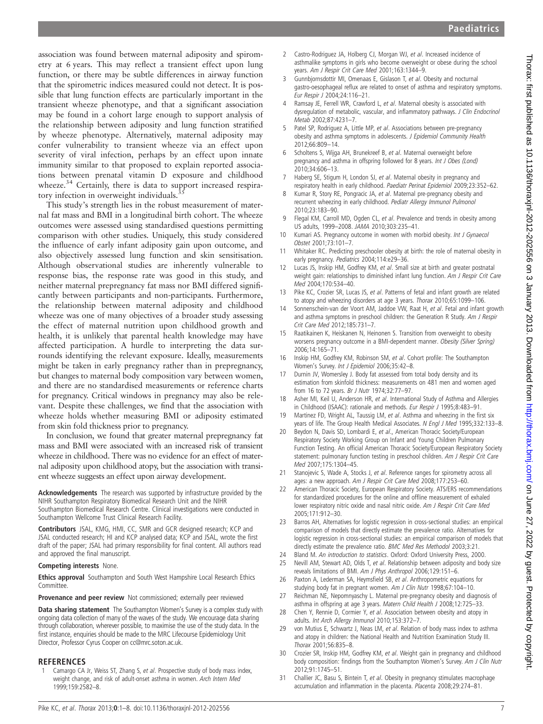association was found between maternal adiposity and spirometry at 6 years. This may reflect a transient effect upon lung function, or there may be subtle differences in airway function that the spirometric indices measured could not detect. It is possible that lung function effects are particularly important in the transient wheeze phenotype, and that a significant association may be found in a cohort large enough to support analysis of the relationship between adiposity and lung function stratified by wheeze phenotype. Alternatively, maternal adiposity may confer vulnerability to transient wheeze via an effect upon severity of viral infection, perhaps by an effect upon innate immunity similar to that proposed to explain reported associations between prenatal vitamin D exposure and childhood wheeze.<sup>34</sup> Certainly, there is data to support increased respiratory infection in overweight individuals.<sup>3</sup>

This study's strength lies in the robust measurement of maternal fat mass and BMI in a longitudinal birth cohort. The wheeze outcomes were assessed using standardised questions permitting comparison with other studies. Uniquely, this study considered the influence of early infant adiposity gain upon outcome, and also objectively assessed lung function and skin sensitisation. Although observational studies are inherently vulnerable to response bias, the response rate was good in this study, and neither maternal prepregnancy fat mass nor BMI differed significantly between participants and non-participants. Furthermore, the relationship between maternal adiposity and childhood wheeze was one of many objectives of a broader study assessing the effect of maternal nutrition upon childhood growth and health, it is unlikely that parental health knowledge may have affected participation. A hurdle to interpreting the data surrounds identifying the relevant exposure. Ideally, measurements might be taken in early pregnancy rather than in prepregnancy, but changes to maternal body composition vary between women, and there are no standardised measurements or reference charts for pregnancy. Critical windows in pregnancy may also be relevant. Despite these challenges, we find that the association with wheeze holds whether measuring BMI or adiposity estimated from skin fold thickness prior to pregnancy.

In conclusion, we found that greater maternal prepregnancy fat mass and BMI were associated with an increased risk of transient wheeze in childhood. There was no evidence for an effect of maternal adiposity upon childhood atopy, but the association with transient wheeze suggests an effect upon airway development.

Acknowledgements The research was supported by infrastructure provided by the NIHR Southampton Respiratory Biomedical Research Unit and the NIHR Southampton Biomedical Research Centre. Clinical investigations were conducted in Southampton Wellcome Trust Clinical Research Facility.

Contributors JSAL, KMG, HMI, CC, SMR and GCR designed research; KCP and JSAL conducted research; HI and KCP analysed data; KCP and JSAL, wrote the first draft of the paper; JSAL had primary responsibility for final content. All authors read and approved the final manuscript.

#### Competing interests None.

**Ethics approval** Southampton and South West Hampshire Local Research Ethics Committee.

#### Provenance and peer review Not commissioned; externally peer reviewed

Data sharing statement The Southampton Women's Survey is a complex study with ongoing data collection of many of the waves of the study. We encourage data sharing through collaboration, wherever possible, to maximise the use of the study data. In the first instance, enquiries should be made to the MRC Lifecourse Epidemiology Unit Director, Professor Cyrus Cooper on cc@mrc.soton.ac.uk.

#### REFERENCES

Camargo CA Jr, Weiss ST, Zhang S, et al. Prospective study of body mass index, weight change, and risk of adult-onset asthma in women. Arch Intern Med 1999;159:2582–8.

- 2 Castro-Rodriguez JA, Holberg CJ, Morgan WJ, et al. Increased incidence of asthmalike symptoms in girls who become overweight or obese during the school years. Am J Respir Crit Care Med 2001;163:1344–9.
- 3 Gunnbjornsdottir MI, Omenaas E, Gislason T, et al. Obesity and nocturnal gastro-oesophageal reflux are related to onset of asthma and respiratory symptoms. Eur Respir J 2004;24:116–21.
- Ramsay JE, Ferrell WR, Crawford L, et al. Maternal obesity is associated with dysregulation of metabolic, vascular, and inflammatory pathways. J Clin Endocrinol Metab 2002;87:4231–7.
- 5 Patel SP, Rodriguez A, Little MP, et al. Associations between pre-pregnancy obesity and asthma symptoms in adolescents. J Epidemiol Community Health 2012;66:809–14.
- 6 Scholtens S, Wijga AH, Brunekreef B, et al. Maternal overweight before pregnancy and asthma in offspring followed for 8 years. Int J Obes (Lond) 2010;34:606–13.
- 7 Haberg SE, Stigum H, London SJ, et al. Maternal obesity in pregnancy and respiratory health in early childhood. Paediatr Perinat Epidemiol 2009;23:352–62.
- 8 Kumar R, Story RE, Pongracic JA, et al. Maternal pre-pregnancy obesity and recurrent wheezing in early childhood. Pediatr Allergy Immunol Pulmonol 2010;23:183–90.
- 9 Flegal KM, Carroll MD, Ogden CL, et al. Prevalence and trends in obesity among US adults, 1999–2008. JAMA 2010;303:235–41.
- 10 Kumari AS. Pregnancy outcome in women with morbid obesity. Int J Gynaecol Obstet 2001;73:101–7.
- 11 Whitaker RC. Predicting preschooler obesity at birth: the role of maternal obesity in early pregnancy. Pediatrics 2004;114:e29–36.
- Lucas JS, Inskip HM, Godfrey KM, et al. Small size at birth and greater postnatal weight gain: relationships to diminished infant lung function. Am J Respir Crit Care Med 2004;170:534–40.
- 13 Pike KC, Crozier SR, Lucas JS, et al. Patterns of fetal and infant growth are related to atopy and wheezing disorders at age 3 years. Thorax 2010;65:1099–106.
- 14 Sonnenschein-van der Voort AM, Jaddoe VW, Raat H, et al. Fetal and infant growth and asthma symptoms in preschool children: the Generation R Study. Am J Respir Crit Care Med 2012;185:731–7.
- 15 Raatikainen K, Heiskanen N, Heinonen S. Transition from overweight to obesity worsens pregnancy outcome in a BMI-dependent manner. Obesity (Silver Spring) 2006;14:165–71.
- 16 Inskip HM, Godfrey KM, Robinson SM, et al. Cohort profile: The Southampton Women's Survey. Int J Epidemiol 2006;35:42–8.
- 17 Durnin JV, Womersley J. Body fat assessed from total body density and its estimation from skinfold thickness: measurements on 481 men and women aged from 16 to 72 years. Br J Nutr 1974;32:77–97.
- 18 Asher MI, Keil U, Anderson HR, et al. International Study of Asthma and Allergies in Childhood (ISAAC): rationale and methods. Eur Respir J 1995;8:483-91.
- 19 Martinez FD, Wright AL, Taussig LM, et al. Asthma and wheezing in the first six years of life. The Group Health Medical Associates. N Engl J Med 1995:332:133-8.
- 20 Beydon N, Davis SD, Lombardi E, et al., American Thoracic Society/European Respiratory Society Working Group on Infant and Young Children Pulmonary Function Testing. An official American Thoracic Society/European Respiratory Society statement: pulmonary function testing in preschool children. Am J Respir Crit Care Med 2007;175:1304–45.
- 21 Stanojevic S, Wade A, Stocks J, et al. Reference ranges for spirometry across all ages: a new approach. Am J Respir Crit Care Med 2008;177:253–60.
- 22 American Thoracic Society, European Respiratory Society. ATS/ERS recommendations for standardized procedures for the online and offline measurement of exhaled lower respiratory nitric oxide and nasal nitric oxide. Am J Respir Crit Care Med 2005;171:912–30.
- 23 Barros AH, Alternatives for logistic regression in cross-sectional studies: an empirical comparison of models that directly estimate the prevalence ratio. Alternatives for logistic regression in cross-sectional studies: an empirical comparison of models that directly estimate the prevalence ratio. BMC Med Res Methodol 2003;3:21.
- Bland M. An introduction to statistics. Oxford: Oxford University Press, 2000.
- 25 Nevill AM, Stewart AD, Olds T, et al. Relationship between adiposity and body size reveals limitations of BMI. Am J Phys Anthropol 2006;129:151–6.
- 26 Paxton A, Lederman SA, Heymsfield SB, et al. Anthropometric equations for studying body fat in pregnant women. Am J Clin Nutr 1998;67:104–10.
- 27 Reichman NE, Nepomnyaschy L. Maternal pre-pregnancy obesity and diagnosis of asthma in offspring at age 3 years. Matern Child Health J 2008;12:725-33.
- 28 Chen Y, Rennie D, Cormier Y, et al. Association between obesity and atopy in adults. Int Arch Allergy Immunol 2010;153:372–7.
- 29 von Mutius E, Schwartz J, Neas LM, et al. Relation of body mass index to asthma and atopy in children: the National Health and Nutrition Examination Study III. Thorax 2001;56:835–8.
- 30 Crozier SR, Inskip HM, Godfrey KM, et al. Weight gain in pregnancy and childhood body composition: findings from the Southampton Women's Survey. Am J Clin Nutr 2012;91:1745–51.
- 31 Challier JC, Basu S, Bintein T, et al. Obesity in pregnancy stimulates macrophage accumulation and inflammation in the placenta. Placenta 2008;29:274–81.